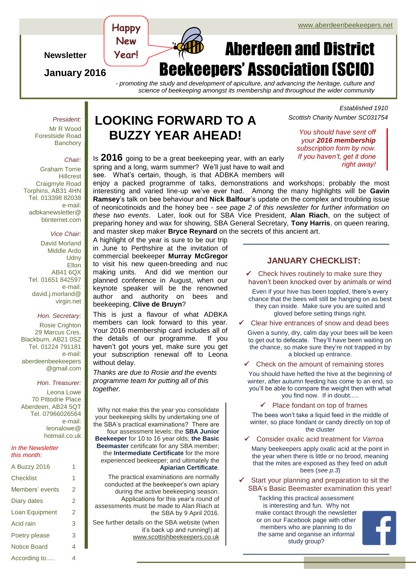Aberdeen and District

#### $\log$   $\log$   $\log$ **Newsletter New Year!**

**Happy** 

### **January 2016**

#### *- promoting the study and development of apiculture, and advancing the heritage, culture and science of beekeeping amongst its membership and throughout the wider community*

**eekeepers' Association (SCIO)** 

*President:* Mr R Wood

Forestside Road **Banchory** 

#### *Chair:*

Graham Torrie Hillcrest Craigmyle Road Torphins, AB31 4HN Tel. 013398 82038 e-mail: adbkanewsletter@ btinternet.com

#### *Vice Chair:*

David Morland Middle Ardo **Udny Ellon** AB41 6QX Tel. 01651 842597 e-mail: david.j.morland@ virgin.net

*Hon. Secretary:* Rosie Crighton 29 Marcus Cres. Blackburn, AB21 0SZ Tel. 01224 791181 e-mail: aberdeenbeekeepers @gmail.com

*Hon. Treasurer:*

Leona Lowe 70 Pittodrie Place Aberdeen, AB24 5QT Tel. 07966026564 e-mail: leonalowe@ hotmail.co.uk

#### *In the Newsletter this month:*

| A Buzzy 2016        | 1 |
|---------------------|---|
| Checklist           | 1 |
| Members' events     | 2 |
| Diary dates         | 2 |
| Loan Equipment      | 2 |
| Acid rain           | 3 |
| Poetry please       | 3 |
| <b>Notice Board</b> | 4 |
| According to        | 4 |

# **LOOKING FORWARD TO A BUZZY YEAR AHEAD!** *You should have sent off*

Is **2016** going to be a great beekeeping year, with an early spring and a long, warm summer? We'll just have to wait and see. What's certain, though, is that ADBKA members will

enjoy a packed programme of talks, demonstrations and workshops; probably the most interesting and varied line-up we've ever had. Among the many highlights will be **Gavin Ramsey**'s talk on bee behaviour and **Nick Balfour**'s update on the complex and troubling issue of neonicotinoids and the honey bee - *see page 2 of this newsletter for further information on these two events*. Later, look out for SBA Vice President, **Alan Riach**, on the subject of preparing honey and wax for showing, SBA General Secretary, **Tony Harris**, on queen rearing, and master skep maker **Bryce Reynard** on the secrets of this ancient art.

A highlight of the year is sure to be our trip in June to Perthshire at the invitation of commercial beekeeper **Murray McGregor** to visit his new queen-breeding and nuc making units. And did we mention our planned conference in August, when our keynote speaker will be the renowned author and authority on bees and beekeeping, **Clive de Bruyn**?

This is just a flavour of what ADBKA members can look forward to this year. Your 2016 membership card includes all of the details of our programme. If you haven't got yours yet, make sure you get your subscription renewal off to Leona without delay.

*Thanks are due to Rosie and the events programme team for putting all of this together.*

Why not make this the year you consolidate your beekeeping skills by undertaking one of the SBA's practical examinations? There are four assessment levels: the **SBA Junior Beekeeper** for 10 to 16 year olds; **the Basic Beemaster** certificate for any SBA member; the **Intermediate Certificate** for the more experienced beekeeper; and ultimately the **Apiarian Certificate**.

The practical examinations are normally conducted at the beekeeper's own apiary during the active beekeeping season. Applications for this year's round of assessments must be made to Alan Riach at the SBA by 9 April 2016.

See further details on the SBA website (when it's back up and running!) at [www.scottishbeekeepers.co.uk](http://www.scottishbeekeepers.co.uk/)

### *Established 1910 Scottish Charity Number SC031754*

*your 2016 membership subscription form by now. If you haven't, get it done right away!*

**JANUARY CHECKLIST:**

- $\checkmark$  Check hives routinely to make sure they haven't been knocked over by animals or wind
- Even if your hive has been toppled, there's every chance that the bees will still be hanging on as best they can inside. Make sure you are suited and gloved before setting things right.
- Clear hive entrances of snow and dead bees

Given a sunny, dry, calm day your bees will be keen to get out to defecate. They'll have been waiting on the chance, so make sure they're not trapped in by a blocked up entrance.

Check on the amount of remaining stores

You should have hefted the hive at the beginning of winter, after autumn feeding has come to an end, so you'll be able to compare the weight then with what you find now. If in doubt.....

 $\checkmark$  Place fondant on top of frames

The bees won't take a liquid feed in the middle of winter, so place fondant or candy directly on top of the cluster

Consider oxalic acid treatment for *Varroa*

Many beekeepers apply oxalic acid at the point in the year when there is little or no brood, meaning that the mites are exposed as they feed on adult bees (*see p.3*)

 Start your planning and preparation to sit the SBA's Basic Beemaster examination this year!

Tackling this practical assessment is interesting and fun. Why not make contact through the newsletter or on our Facebook page with other members who are planning to do the same and organise an informal study group?

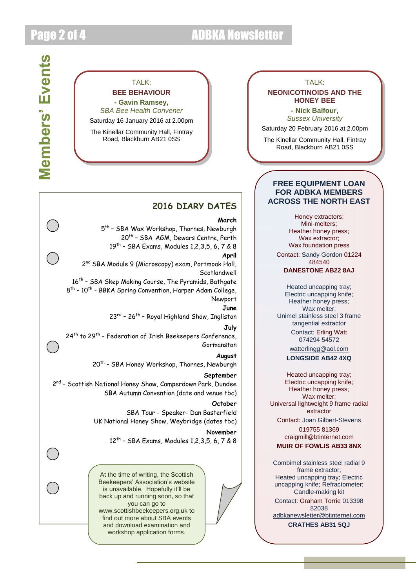# Page 2 of 4 ADBKA Newsletter

## TAI K<sup>.</sup>

**BEE BEHAVIOUR** 

**- Gavin Ramsey,**  *SBA Bee Health Convener* Saturday 16 January 2016 at 2.00pm

The Kinellar Community Hall, Fintray Road, Blackburn AB21 0SS

## **2016 DIARY DATES**

**March** 

5<sup>th</sup> - SBA Wax Workshop, Thornes, Newburgh 20<sup>th</sup> - SBA AGM, Dewars Centre, Perth 19th – SBA Exams, Modules 1,2,3,5, 6, 7 & 8 **April** 2<sup>nd</sup> SBA Module 9 (Microscopy) exam, Portmoak Hall, **Scotlandwell** 16<sup>th</sup> - SBA Skep Making Course, The Pyramids, Bathgate 8<sup>th</sup> - 10<sup>th</sup> - BBKA Spring Convention, Harper Adam College, Newport **June** 23<sup>rd</sup> - 26<sup>th</sup> - Royal Highland Show, Ingliston **July** 24<sup>th</sup> to 29<sup>th</sup> - Federation of Irish Beekeepers Conference, Gormanston **August** 20<sup>th</sup> - SBA Honey Workshop, Thornes, Newburgh **September** 2<sup>nd</sup> - Scottish National Honey Show, Camperdown Park, Dundee SBA Autumn Convention (date and venue tbc) **October** SBA Tour - Speaker- Dan Basterfield

UK National Honey Show, Weybridge (dates tbc)

**November** 12th – SBA Exams, Modules 1,2,3,5, 6, 7 & 8

At the time of writing, the Scottish Beekeepers' Association's website is unavailable. Hopefully it'll be back up and running soon, so that you can go to [www.scottishbeekeepers.org.uk](http://www.scottishbeekeepers.org.uk/) to find out more about SBA events and download examination and workshop application forms.

#### TAI K<sup>.</sup>

#### **NEONICOTINOIDS AND THE HONEY BEE**

**- Nick Balfour,** *Sussex University*

Saturday 20 February 2016 at 2.00pm

The Kinellar Community Hall, Fintray Road, Blackburn AB21 0SS

### **FREE EQUIPMENT LOAN FOR ADBKA MEMBERS ACROSS THE NORTH EAST**

Honey extractors; Mini-melters; Heather honey press; Wax extractor; Wax foundation press

Contact: Sandy Gordon 01224 484540

**DANESTONE AB22 8AJ**

Heated uncapping tray; Electric uncapping knife; Heather honey press; Wax melter: Unimel stainless steel 3 frame tangential extractor Contact: Erling Watt 074294 54572

> [watterlingg@aol.com](mailto:watterlingg@aol.com) **LONGSIDE AB42 4XQ**

Heated uncapping tray; Electric uncapping knife; Heather honey press; Wax melter; Universal lightweight 9 frame radial extractor

Contact: Joan Gilbert-Stevens

019755 81369 [craigmill@btinternet.com](mailto:craigmill@btinternet.com) **MUIR OF FOWLIS AB33 8NX**

Combimel stainless steel radial 9 frame extractor; Heated uncapping tray; Electric uncapping knife; Refractometer; Candle-making kit

Contact: Graham Torrie 013398 82038

[adbkanewsletter@btinternet.com](mailto:adbkanewsletter@btinternet.com)

**CRATHES AB31 5QJ**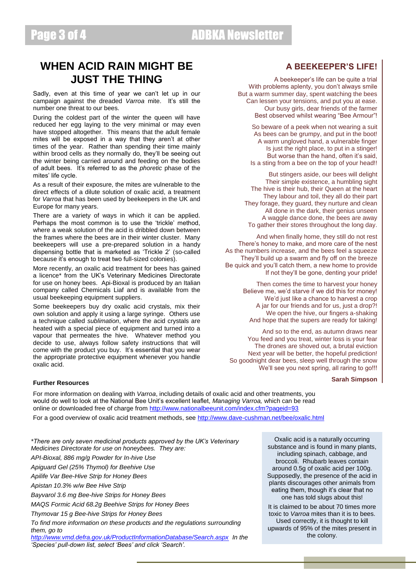# Page 3 of 4 ADBKA Newsletter

# **WHEN ACID RAIN MIGHT BE JUST THE THING**

Sadly, even at this time of year we can't let up in our campaign against the dreaded *Varroa* mite. It's still the number one threat to our bees.

During the coldest part of the winter the queen will have reduced her egg laying to the very minimal or may even have stopped altogether. This means that the adult female mites will be exposed in a way that they aren't at other times of the year. Rather than spending their time mainly within brood cells as they normally do, they'll be seeing out the winter being carried around and feeding on the bodies of adult bees. It's referred to as the *phoretic* phase of the mites' life cycle.

As a result of their exposure, the mites are vulnerable to the direct effects of a dilute solution of oxalic acid, a treatment for *Varroa* that has been used by beekeepers in the UK and Europe for many years.

There are a variety of ways in which it can be applied. Perhaps the most common is to use the 'trickle' method, where a weak solution of the acid is dribbled down between the frames where the bees are in their winter cluster. Many beekeepers will use a pre-prepared solution in a handy dispensing bottle that is marketed as 'Trickle 2' (so-called because it's enough to treat two full-sized colonies).

More recently, an oxalic acid treatment for bees has gained a licence\* from the UK's Veterinary Medicines Directorate for use on honey bees. Api-Bioxal is produced by an Italian company called Chemicals Liaf and is available from the usual beekeeping equipment suppliers.

Some beekeepers buy dry oxalic acid crystals, mix their own solution and apply it using a large syringe. Others use a technique called *sublimation*, where the acid crystals are heated with a special piece of equipment and turned into a vapour that permeates the hive. Whatever method you decide to use, always follow safety instructions that will come with the product you buy. It's essential that you wear the appropriate protective equipment whenever you handle oxalic acid.

### **A BEEKEEPER'S LIFE!**

A beekeeper's life can be quite a trial With problems aplenty, you don't always smile But a warm summer day, spent watching the bees Can lessen your tensions, and put you at ease. Our busy girls, dear friends of the farmer Best observed whilst wearing "Bee Armour"!

So beware of a peek when not wearing a suit As bees can be grumpy, and put in the boot! A warm ungloved hand, a vulnerable finger Is just the right place, to put in a stinger! But worse than the hand, often it's said, Is a sting from a bee on the top of your head!!

But stingers aside, our bees will delight Their simple existence, a humbling sight The hive is their hub, their Queen at the heart They labour and toil, they all do their part They forage, they guard, they nurture and clean All done in the dark, their genius unseen A waggle dance done, the bees are away To gather their stores throughout the long day.

And when finally home, they still do not rest There's honey to make, and more care of the nest As the numbers increase, and the bees feel a squeeze They'll build up a swarm and fly off on the breeze Be quick and you'll catch them, a new home to provide If not they'll be gone, denting your pride!

> Then comes the time to harvest your honey Believe me, we'd starve if we did this for money! We'd just like a chance to harvest a crop A jar for our friends and for us, just a drop?! We open the hive, our fingers a-shaking And hope that the supers are ready for taking!

And so to the end, as autumn draws near You feed and you treat, winter loss is your fear The drones are shoved out, a brutal eviction Next year will be better, the hopeful prediction! So goodnight dear bees, sleep well through the snow We'll see you next spring, all raring to go!!!

#### **Sarah Simpson**

#### **Further Resources**

For more information on dealing with *Varroa*, including details of oxalic acid and other treatments, you would do well to look at the National Bee Unit's excellent leaflet, *Managing Varroa,* which can be read online or downloaded free of charge from<http://www.nationalbeeunit.com/index.cfm?pageid=93>

For a good overview of oxalic acid treatment methods, see<http://www.dave-cushman.net/bee/oxalic.html>

*\*There are only seven medicinal products approved by the UK's Veterinary Medicines Directorate for use on honeybees. They are: API-Bioxal, 886 mg/g Powder for In-hive Use Apiguard Gel (25% Thymol) for Beehive Use Apilife Var Bee-Hive Strip for Honey Bees Apistan 10.3% w/w Bee Hive Strip Bayvarol 3.6 mg Bee-hive Strips for Honey Bees MAQS Formic Acid 68.2g Beehive Strips for Honey Bees Thymovar 15 g Bee-hive Strips for Honey Bees To find more information on these products and the regulations surrounding them, go to* 

*<http://www.vmd.defra.gov.uk/ProductInformationDatabase/Search.aspx>In the 'Species' pull-down list, select 'Bees' and click 'Search'.* 

Oxalic acid is a naturally occurring substance and is found in many plants, including spinach, cabbage, and broccoli. Rhubarb leaves contain around 0.5g of oxalic acid per 100g. Supposedly, the presence of the acid in plants discourages other animals from eating them, though it's clear that no one has told slugs about this!

It is claimed to be about 70 times more toxic to *Varroa* mites than it is to bees. Used correctly, it is thought to kill upwards of 95% of the mites present in the colony.